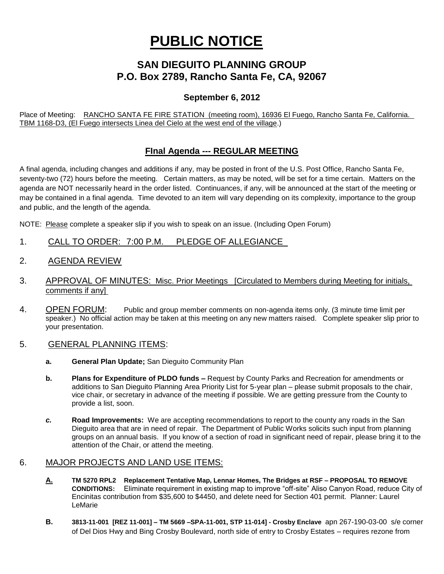# **PUBLIC NOTICE**

## **SAN DIEGUITO PLANNING GROUP P.O. Box 2789, Rancho Santa Fe, CA, 92067**

#### **September 6, 2012**

Place of Meeting: RANCHO SANTA FE FIRE STATION (meeting room), 16936 El Fuego, Rancho Santa Fe, California. TBM 1168-D3, (El Fuego intersects Linea del Cielo at the west end of the village.)

### **FInal Agenda --- REGULAR MEETING**

A final agenda, including changes and additions if any, may be posted in front of the U.S. Post Office, Rancho Santa Fe, seventy-two (72) hours before the meeting. Certain matters, as may be noted, will be set for a time certain. Matters on the agenda are NOT necessarily heard in the order listed. Continuances, if any, will be announced at the start of the meeting or may be contained in a final agenda. Time devoted to an item will vary depending on its complexity, importance to the group and public, and the length of the agenda.

NOTE: Please complete a speaker slip if you wish to speak on an issue. (Including Open Forum)

- 1. CALL TO ORDER: 7:00 P.M. PLEDGE OF ALLEGIANCE
- 2. AGENDA REVIEW
- 3. APPROVAL OF MINUTES: Misc. Prior Meetings [Circulated to Members during Meeting for initials. comments if any]
- 4. OPEN FORUM: Public and group member comments on non-agenda items only. (3 minute time limit per speaker.) No official action may be taken at this meeting on any new matters raised. Complete speaker slip prior to your presentation.
- 5. GENERAL PLANNING ITEMS:
	- **a. General Plan Update;** San Dieguito Community Plan
	- **b. Plans for Expenditure of PLDO funds –** Request by County Parks and Recreation for amendments or additions to San Dieguito Planning Area Priority List for 5-year plan – please submit proposals to the chair, vice chair, or secretary in advance of the meeting if possible. We are getting pressure from the County to provide a list, soon.
	- *c.* **Road Improvements:** We are accepting recommendations to report to the county any roads in the San Dieguito area that are in need of repair. The Department of Public Works solicits such input from planning groups on an annual basis. If you know of a section of road in significant need of repair, please bring it to the attention of the Chair, or attend the meeting.

#### 6. MAJOR PROJECTS AND LAND USE ITEMS:

- **A. TM 5270 RPL2 Replacement Tentative Map, Lennar Homes, The Bridges at RSF – PROPOSAL TO REMOVE CONDITIONS:** Eliminate requirement in existing map to improve "off-site" Aliso Canyon Road, reduce City of Encinitas contribution from \$35,600 to \$4450, and delete need for Section 401 permit. Planner: Laurel LeMarie
- **B. 3813-11-001 [REZ 11-001] – TM 5669 –SPA-11-001, STP 11-014] - Crosby Enclave** apn 267-190-03-00 s/e corner of Del Dios Hwy and Bing Crosby Boulevard, north side of entry to Crosby Estates – requires rezone from